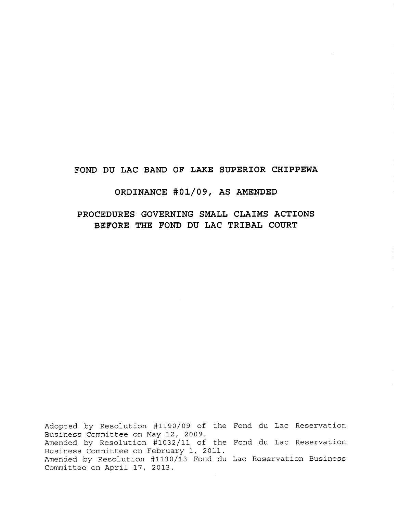# **FOND DU LAC BAND OF LAKE SUPERIOR CHIPPEWA**

# **ORDINANCE #01/09, AS AMENDED**

**PROCEDURES GOVERNING SMALL CLAIMS ACTIONS BEFORE THE FOND DU LAC TRIBAL COURT**

Adopted by Resolution #1190/09 of the Fond du Lac Reservation Fond du Lac Reservation Amended by Resolution #1130/13 Fond du Lac Reservation Business Business Committee on May 12, 2009. Amended by Resolution #1032/11 of the Business Committee on February 1, 2011. Committee on April 17, 2013.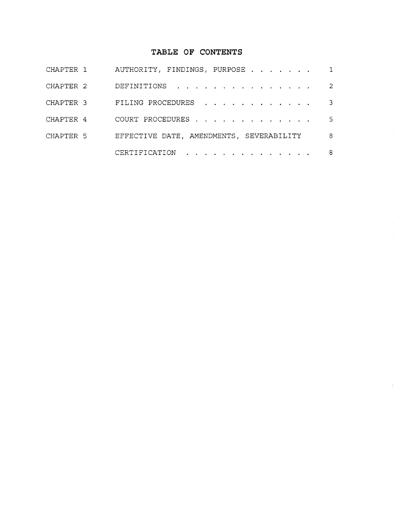# TABLE **OF CONTENTS**

| CHAPTER 1 | AUTHORITY, FINDINGS, PURPOSE 1           |     |
|-----------|------------------------------------------|-----|
| CHAPTER 2 | DEFINITIONS                              | 2   |
| CHAPTER 3 | FILING PROCEDURES                        | -3- |
| CHAPTER 4 | COURT PROCEDURES                         | 5   |
| CHAPTER 5 | EFFECTIVE DATE, AMENDMENTS, SEVERABILITY | -8  |
|           | CERTIFICATION                            | - 8 |

 $\frac{1}{2}$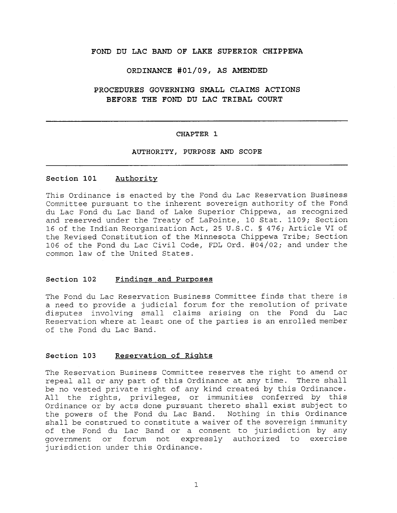## **FOND DU LAC BAND OF LAKE SUPERIOR CHIPPEWA**

#### **ORDINANCE #01/09, AS AMENDED**

# **PROCEDURES GOVERNING SMALL CLAIMS ACTIONS BEFORE THE FOND DU LAC TRIBAL COURT**

#### **CHAPTER 1**

#### **AUTHORITY, PURPOSE AND SCOPE**

## **Section 101 Authority**

This Ordinance is enacted by the Fond du Lac Reservation Business Committee pursuant to the inherent sovereign authority of the Fond du Lac Fond du Lac Band of Lake Superior Chippewa, as recognized and reserved under the Treaty of LaPointe, 10 Stat. 1109; Section 16 of the Indian Reorganization Act, 25 U.S.C. § 476; Article VI of the Revised Constitution of the Minnesota Chippewa Tribe; Section 106 of the Fond du Lac Civil Code, FDL Ord. 404/02; and under the common law of the United States.

#### **Section 102 Findings and Purposes**

The Fond du Lac Reservation Business Committee finds that there is a need to provide a judicial forum for the resolution of private disputes involving small claims arising on the Fond du Lac Reservation where at least one of the parties is an enrolled member of the Fond du Lac Band.

### **Section 103 Reservation of Rights**

The Reservation Business Committee reserves the right to amend or repeal all or any part of this Ordinance at any time. There shall be no vested private right of any kind created by this Ordinance. All the rights, privileges, or immunities conferred by this Ordinance or by acts done pursuant thereto shall exist subject to the powers of the Fond du Lac Band. Nothing in this Ordinance shall be construed to constitute a waiver of the sovereign immunity of the Fond du Lac Band or a consent to jurisdiction by any government or forum not expressly authorized to exercise jurisdiction under this Ordinance.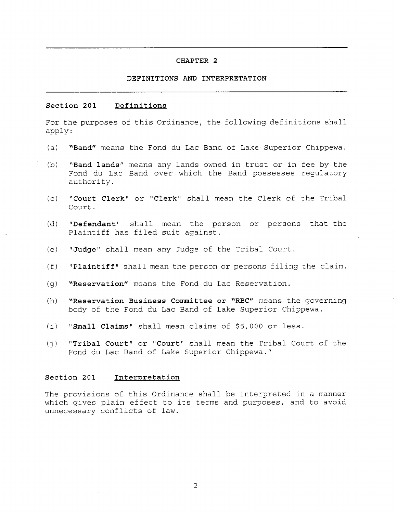#### **DEFINITIONS AND INTERPRETATION**

#### **Section 201 Definitions**

For the purposes of this Ordinance, the following definitions shall apply:

- **(a) "Band"** means the Fond du Lac Band of Lake Superior Chippewa.
- **(b) "Band lands"** means any lands owned in trust or in fee by the Fond du Lac Band over which the Band possesses regulatory authority.
- **(c) "Court Clerk"** or **"Clerk"** shall mean the Clerk of the Tribal Court.
- **(d) "Defendant"** shall mean the person or persons that the Plaintiff has filed suit against.
- **(e) " Judge"** shall mean any Judge of the Tribal Court.
- **(f) "Plaintiff"** shall mean the person or persons filing the claim.
- **(g) "Reservation"** means the Fond du Lac Reservation.
- **(h) "Reservation Business Committee or "RBC"** means the governing body of the Fond du Lac Band of Lake Superior Chippewa.
- (i) " Small **Claims"** shall mean claims of \$5,000 or less.
- **(j) " Tribal Court"** or **" Court"** shall mean the Tribal Court of the Fond du Lac Band of Lake Superior Chippewa."

#### **Section 201 Interpretation**

The provisions of this Ordinance shall be interpreted in a manner which gives plain effect to its terms and purposes, and to avoid unnecessary conflicts of law.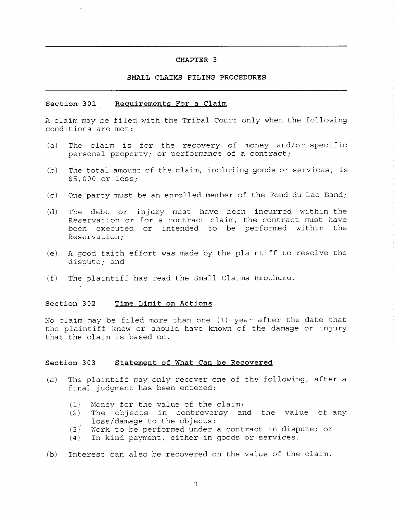#### **SMALL CLAIMS FILING PROCEDURES**

#### **Section 301 Requirements For a Claim**

A claim may be filed with the Tribal Court only when the following conditions are met:

- (a) The claim is for the recovery of money and/or specific personal property; or performance of a contract;
- (b) The total amount of the claim, including goods or services, is \$5,000 or less;
- (c) One party must be an enrolled member of the Fond du Lac Band;
- (d) The debt or injury must have been incurred within the Reservation or for a contract claim, the contract must have been executed or intended to be performed within the Reservation;
- (e) A good faith effort was made by the plaintiff to resolve the dispute; and
- (f) The plaintiff has read the Small Claims Brochure.

#### **Section 302 Time Limit on Actions**

No claim may be filed more than one (1) year after the date that the plaintiff knew or should have known of the damage or injury that the claim is based on.

#### **Section 303 Statement of What Can be Recovered**

- (a) The plaintiff may only recover one of the following, after a final judgment has been entered:
	- (1) Money for the value of the claim;
	- (2) The objects in controversy and the value of any loss/damage to the objects;
	- (3) Work to be performed under a contract in dispute; or
	- (4) In kind payment, either in goods or services.
- (b) Interest can also be recovered on the value of the claim.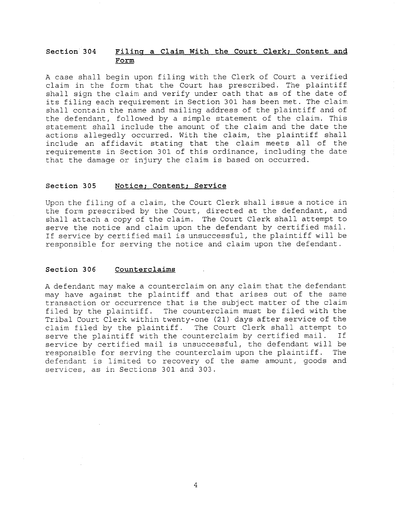## **Section 304 Filing a Claim With the Court Clerk; Content and Form**

A case shall begin upon filing with the Clerk of Court a verified claim in the form that the Court has prescribed. The plaintiff shall sign the claim and verify under oath that as of the date of its filing each requirement in Section 301 has been met. The claim shall contain the name and mailing address of the plaintiff and of the defendant, followed by a simple statement of the claim. This statement shall include the amount of the claim and the date the actions allegedly occurred. With the claim, the plaintiff shall include an affidavit stating that the claim meets all of the requirements in Section 301 of this ordinance, including the date that the damage or injury the claim is based on occurred.

### **Section 305 Notice; Content; Service**

Upon the filing of a claim, the Court Clerk shall issue a notice in the form prescribed by the Court, directed at the defendant, and shall attach a copy of the claim. The Court Clerk shall attempt to serve the notice and claim upon the defendant by certified mail. If service by certified mail is unsuccessful, the plaintiff will be responsible for serving the notice and claim upon the defendant.

## **Section 306 Counterclaims**

A defendant may make a counterclaim on any claim that the defendant may have against the plaintiff and that arises out of the same transaction or occurrence that is the subject matter of the claim filed by the plaintiff. The counterclaim must be filed with the Tribal Court Clerk within twenty-one (21) days after service of the claim filed by the plaintiff. The Court Clerk shall attempt to serve the plaintiff with the counterclaim by certified mail. If service by certified mail is unsuccessful, the defendant will be responsible for serving the counterclaim upon the plaintiff. The defendant is limited to recovery of the same amount, goods and services, as in Sections 301 and 303.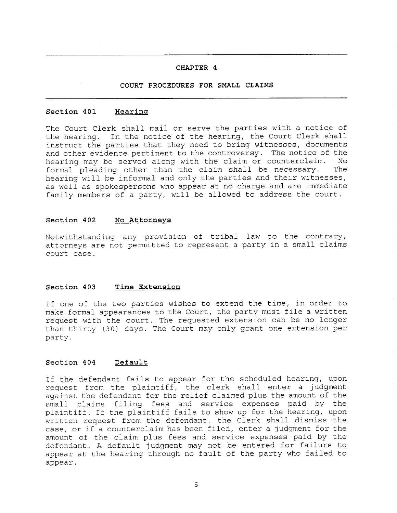## **COURT PROCEDURES FOR SMALL CLAIMS**

#### Section 401 **Hearing**

The Court Clerk shall mail or serve the parties with a notice of the hearing. In the notice of the hearing, the Court Clerk shall instruct the parties that they need to bring witnesses, documents and other evidence pertinent to the controversy. The notice of the hearing may be served along with the claim or counterclaim. No formal pleading other than the claim shall be necessary. The hearing will be informal and only the parties and their witnesses, as well as spokespersons who appear at no charge and are immediate family members of a party, will be allowed to address the court.

#### **Section 402 No Attorneys**

Notwithstanding any provision of tribal law to the contrary, attorneys are not permitted to represent a party in a small claims court case.

#### **Section 403 Time Extension**

If one of the two parties wishes to extend the time, in order to make formal appearances to the Court, the party must file a written request with the court. The requested extension can be no longer than thirty (30) days. The Court may only grant one extension per party.

#### **Section 404 Default**

If the defendant fails to appear for the scheduled hearing, upon request from the plaintiff, the clerk shall enter a judgment against the defendant for the relief claimed plus the amount of the small claims filing fees and service expenses paid by the plaintiff. If the plaintiff fails to show up for the hearing, upon written request from the defendant, the Clerk shall dismiss the case, or if a counterclaim has been filed, enter a judgment for the amount of the claim plus fees and service expenses paid by the defendant. A default judgment may not be entered for failure to appear at the hearing through no fault of the party who failed to appear.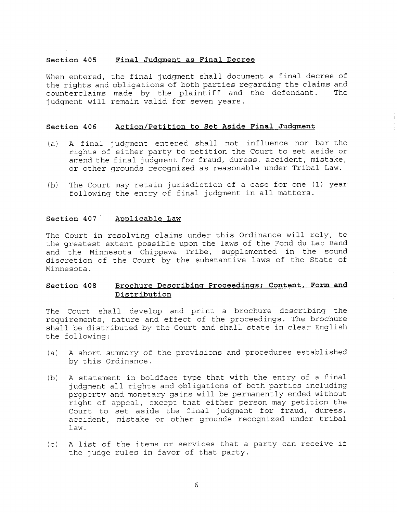#### **Section 405 Final Judgment as Final Decree**

When entered, the final judgment shall document a final decree of the rights and obligations of both parties regarding the claims and counterclaims made by the plaintiff and the defendant. The judgment will remain valid for seven years.

#### **Section 406 Action/Petition to Set Aside Final Judgment**

- (a) A final judgment entered shall not influence nor bar the rights of either party to petition the Court to set aside or amend the final judgment for fraud, duress, accident, mistake, or other grounds recognized as reasonable under Tribal Law.
- (b) The Court may retain jurisdiction of a case for one (1) year following the entry of final judgment in all matters.

## **Section 407 Applicable Law**

The Court in resolving claims under this Ordinance will rely, to the greatest extent possible upon the laws of the Fond du Lac Band and the Minnesota Chippewa Tribe, supplemented in the sound discretion of the Court by the substantive laws of the State of Minnesota.

## **Section 408 Brochure Describing Proceedings; Content, Form and Distribution**

The Court shall develop and print a brochure describing the requirements, nature and effect of the proceedings. The brochure shall be distributed by the Court and shall state in clear English the following:

- (a) A short summary of the provisions and procedures established by this Ordinance.
- (b) A statement in boldface type that with the entry of a final judgment all rights and obligations of both parties including property and monetary gains will be permanently ended without right of appeal, except that either person may petition the Court to set aside the final judgment for fraud, duress, accident, mistake or other grounds recognized under tribal law.
- (c) A list of the items or services that a party can receive if the judge rules in favor of that party.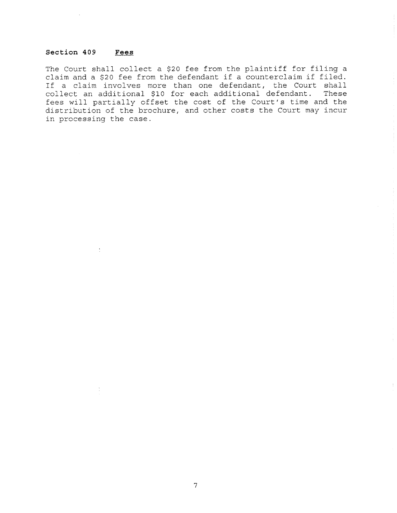## **Section 409 Fees**

The Court shall collect a \$20 fee from the plaintiff for filing a claim and a \$20 fee from the defendant if a counterclaim if filed. If a claim involves more than one defendant, the Court shall collect an additional \$10 for each additional defendant. These fees will partially offset the cost of the Court's time and the distribution of the brochure, and other costs the Court may incur in processing the case.